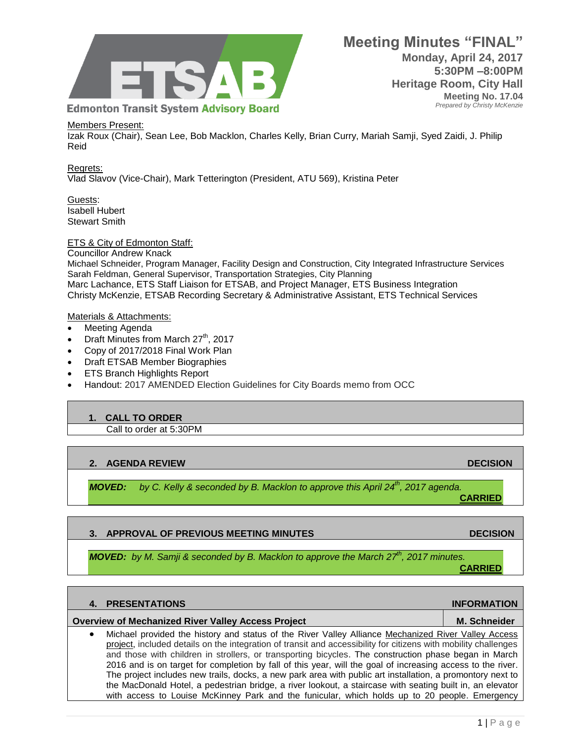

#### Members Present:

Izak Roux (Chair), Sean Lee, Bob Macklon, Charles Kelly, Brian Curry, Mariah Samji, Syed Zaidi, J. Philip Reid

Regrets: Vlad Slavov (Vice-Chair), Mark Tetterington (President, ATU 569), Kristina Peter

Guests: Isabell Hubert Stewart Smith

ETS & City of Edmonton Staff:

Councillor Andrew Knack

Michael Schneider, Program Manager, Facility Design and Construction, City Integrated Infrastructure Services Sarah Feldman, General Supervisor, Transportation Strategies, City Planning Marc Lachance, ETS Staff Liaison for ETSAB, and Project Manager, ETS Business Integration Christy McKenzie, ETSAB Recording Secretary & Administrative Assistant, ETS Technical Services

#### Materials & Attachments:

- Meeting Agenda
- $\bullet$  Draft Minutes from March 27<sup>th</sup>, 2017
- Copy of 2017/2018 Final Work Plan
- Draft ETSAB Member Biographies
- ETS Branch Highlights Report
- Handout: 2017 AMENDED Election Guidelines for City Boards memo from OCC

#### **1. CALL TO ORDER**

Call to order at 5:30PM

## **2. AGENDA REVIEW DECISION**

*MOVED: by C. Kelly & seconded by B. Macklon to approve this April 24th, 2017 agenda.* 

## **3. APPROVAL OF PREVIOUS MEETING MINUTES ARE ALCOHOLY AND DECISION DECISION**

*MOVED: by M. Samji & seconded by B. Macklon to approve the March 27th, 2017 minutes.* **CARRIED**

|           | <b>4. PRESENTATIONS</b>                                                                                                                                                                                                                                                                                                                                                                                                                                                                                                                                                                                                                                                   | <b>INFORMATION</b>  |
|-----------|---------------------------------------------------------------------------------------------------------------------------------------------------------------------------------------------------------------------------------------------------------------------------------------------------------------------------------------------------------------------------------------------------------------------------------------------------------------------------------------------------------------------------------------------------------------------------------------------------------------------------------------------------------------------------|---------------------|
|           | <b>Overview of Mechanized River Valley Access Project</b>                                                                                                                                                                                                                                                                                                                                                                                                                                                                                                                                                                                                                 | <b>M. Schneider</b> |
| $\bullet$ | Michael provided the history and status of the River Valley Alliance Mechanized River Valley Access<br>project, included details on the integration of transit and accessibility for citizens with mobility challenges<br>and those with children in strollers, or transporting bicycles. The construction phase began in March<br>2016 and is on target for completion by fall of this year, will the goal of increasing access to the river.<br>The project includes new trails, docks, a new park area with public art installation, a promontory next to<br>the MacDonald Hotel, a pedestrian bridge, a river lookout, a staircase with seating built in, an elevator |                     |

with access to Louise McKinney Park and the funicular, which holds up to 20 people. Emergency

**CARRIED**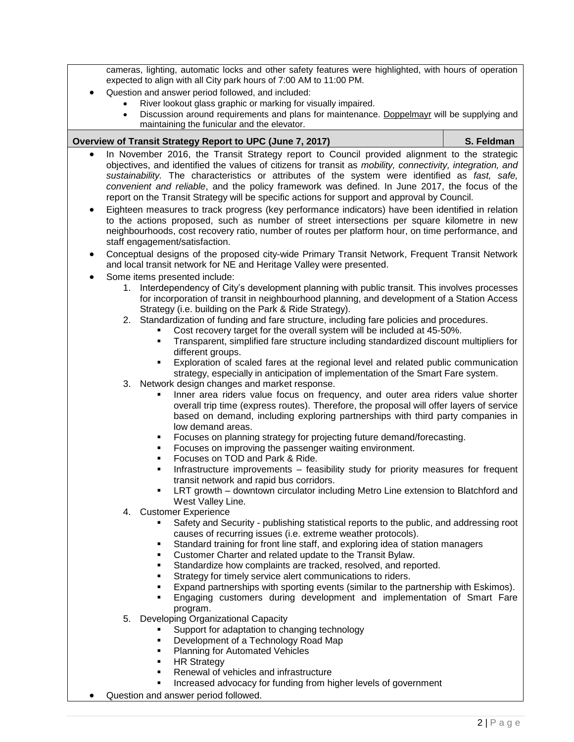cameras, lighting, automatic locks and other safety features were highlighted, with hours of operation expected to align with all City park hours of 7:00 AM to 11:00 PM.

- Question and answer period followed, and included:
	- River lookout glass graphic or marking for visually impaired.
		- Discussion around requirements and plans for maintenance. [Doppelmayr](http://www.fis-ski.com/mm/Document/documentlibrary/General/07/26/02/LeadersSeminar2015-DoppelmayrGaraventa_English.pdf) will be supplying and maintaining the funicular and the elevator.

#### **Overview of Transit Strategy Report to UPC (June 7, 2017) S. Feldman**

- In November 2016, the Transit Strategy report to Council provided alignment to the strategic objectives, and identified the values of citizens for transit as *mobility, connectivity, integration, and sustainability.* The characteristics or attributes of the system were identified as *fast, safe, convenient and reliable*, and the policy framework was defined. In June 2017, the focus of the report on the Transit Strategy will be specific actions for support and approval by Council.
- Eighteen measures to track progress (key performance indicators) have been identified in relation to the actions proposed, such as number of street intersections per square kilometre in new neighbourhoods, cost recovery ratio, number of routes per platform hour, on time performance, and staff engagement/satisfaction.
- Conceptual designs of the proposed city-wide Primary Transit Network, Frequent Transit Network and local transit network for NE and Heritage Valley were presented.
- Some items presented include:
	- 1. Interdependency of City's development planning with public transit. This involves processes for incorporation of transit in neighbourhood planning, and development of a Station Access Strategy (i.e. building on the Park & Ride Strategy).
	- 2. Standardization of funding and fare structure, including fare policies and procedures.
		- Cost recovery target for the overall system will be included at 45-50%.
		- Transparent, simplified fare structure including standardized discount multipliers for different groups.
		- Exploration of scaled fares at the regional level and related public communication strategy, especially in anticipation of implementation of the Smart Fare system.
	- 3. Network design changes and market response.
		- Inner area riders value focus on frequency, and outer area riders value shorter overall trip time (express routes). Therefore, the proposal will offer layers of service based on demand, including exploring partnerships with third party companies in low demand areas.
		- Focuses on planning strategy for projecting future demand/forecasting.
		- Focuses on improving the passenger waiting environment.
		- Focuses on TOD and Park & Ride.
		- Infrastructure improvements feasibility study for priority measures for frequent transit network and rapid bus corridors.
		- LRT growth downtown circulator including Metro Line extension to Blatchford and West Valley Line.
	- 4. Customer Experience
		- Safety and Security publishing statistical reports to the public, and addressing root causes of recurring issues (i.e. extreme weather protocols).
		- Standard training for front line staff, and exploring idea of station managers
		- Customer Charter and related update to the Transit Bylaw.
		- **Standardize how complaints are tracked, resolved, and reported.**
		- Strategy for timely service alert communications to riders.
		- Expand partnerships with sporting events (similar to the partnership with Eskimos).
		- Engaging customers during development and implementation of Smart Fare program.
	- 5. Developing Organizational Capacity
		- **Support for adaptation to changing technology**
		- Development of a Technology Road Map
		- Planning for Automated Vehicles
		- **HR Strategy**
		- Renewal of vehicles and infrastructure
		- Increased advocacy for funding from higher levels of government
- Question and answer period followed.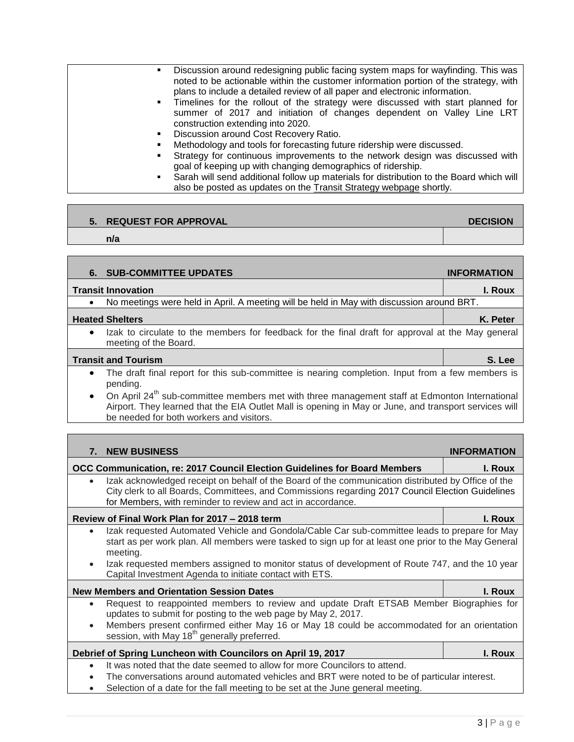| Discussion around redesigning public facing system maps for wayfinding. This was<br>noted to be actionable within the customer information portion of the strategy, with<br>plans to include a detailed review of all paper and electronic information.<br>. Timelines for the rollout of the strategy were discussed with start planned for<br>summer of 2017 and initiation of changes dependent on Valley Line LRT<br>construction extending into 2020. |
|------------------------------------------------------------------------------------------------------------------------------------------------------------------------------------------------------------------------------------------------------------------------------------------------------------------------------------------------------------------------------------------------------------------------------------------------------------|
| Discussion around Cost Recovery Ratio.                                                                                                                                                                                                                                                                                                                                                                                                                     |
| Methodology and tools for forecasting future ridership were discussed.                                                                                                                                                                                                                                                                                                                                                                                     |
| Strategy for continuous improvements to the network design was discussed with<br>goal of keeping up with changing demographics of ridership.                                                                                                                                                                                                                                                                                                               |
| Sarah will send additional follow up materials for distribution to the Board which will                                                                                                                                                                                                                                                                                                                                                                    |
| also be posted as updates on the Transit Strategy webpage shortly.                                                                                                                                                                                                                                                                                                                                                                                         |

# **5.** REQUEST FOR APPROVAL **DECISION**

## **n/a**

|                            | <b>6. SUB-COMMITTEE UPDATES</b>                                                                                                                                                                                                                                                                                                    | <b>INFORMATION</b> |
|----------------------------|------------------------------------------------------------------------------------------------------------------------------------------------------------------------------------------------------------------------------------------------------------------------------------------------------------------------------------|--------------------|
|                            | <b>Transit Innovation</b>                                                                                                                                                                                                                                                                                                          | I. Roux            |
|                            | No meetings were held in April. A meeting will be held in May with discussion around BRT.                                                                                                                                                                                                                                          |                    |
|                            | <b>Heated Shelters</b>                                                                                                                                                                                                                                                                                                             | K. Peter           |
| $\bullet$                  | Izak to circulate to the members for feedback for the final draft for approval at the May general<br>meeting of the Board.                                                                                                                                                                                                         |                    |
| <b>Transit and Tourism</b> |                                                                                                                                                                                                                                                                                                                                    | S. Lee             |
| $\bullet$                  | The draft final report for this sub-committee is nearing completion. Input from a few members is<br>pending.<br>On April 24 <sup>th</sup> sub-committee members met with three management staff at Edmonton International<br>Airport. They learned that the EIA Outlet Mall is opening in May or June, and transport services will |                    |
|                            | be needed for both workers and visitors.                                                                                                                                                                                                                                                                                           |                    |
|                            |                                                                                                                                                                                                                                                                                                                                    |                    |
| 7.                         | <b>NEW BUSINESS</b>                                                                                                                                                                                                                                                                                                                | <b>INFORMATION</b> |
|                            | OCC Communication, re: 2017 Council Election Guidelines for Board Members                                                                                                                                                                                                                                                          | I. Roux            |
|                            | Izak acknowledged receipt on behalf of the Board of the communication distributed by Office of the<br>City clerk to all Boards, Committees, and Commissions regarding 2017 Council Election Guidelines<br>for Members, with reminder to review and act in accordance.                                                              |                    |
|                            | Review of Final Work Plan for 2017 - 2018 term                                                                                                                                                                                                                                                                                     | I. Roux            |
| $\bullet$                  | Izak requested Automated Vehicle and Gondola/Cable Car sub-committee leads to prepare for May<br>start as per work plan. All members were tasked to sign up for at least one prior to the May General<br>meeting.<br>Izak requested members assigned to monitor status of development of Route 747, and the 10 year                |                    |
|                            | Capital Investment Agenda to initiate contact with ETS.                                                                                                                                                                                                                                                                            |                    |
|                            | <b>New Members and Orientation Session Dates</b>                                                                                                                                                                                                                                                                                   | I. Roux            |
|                            | Request to reappointed members to review and update Draft ETSAB Member Biographies for<br>updates to submit for posting to the web page by May 2, 2017.<br>Members present confirmed either May 16 or May 18 could be accommodated for an orientation                                                                              |                    |
|                            | session, with May 18 <sup>th</sup> generally preferred.                                                                                                                                                                                                                                                                            |                    |
|                            | Debrief of Spring Luncheon with Councilors on April 19, 2017                                                                                                                                                                                                                                                                       | I. Roux            |
|                            | It was noted that the date seemed to allow for more Councilors to attend.                                                                                                                                                                                                                                                          |                    |

- The conversations around automated vehicles and BRT were noted to be of particular interest.
- Selection of a date for the fall meeting to be set at the June general meeting.